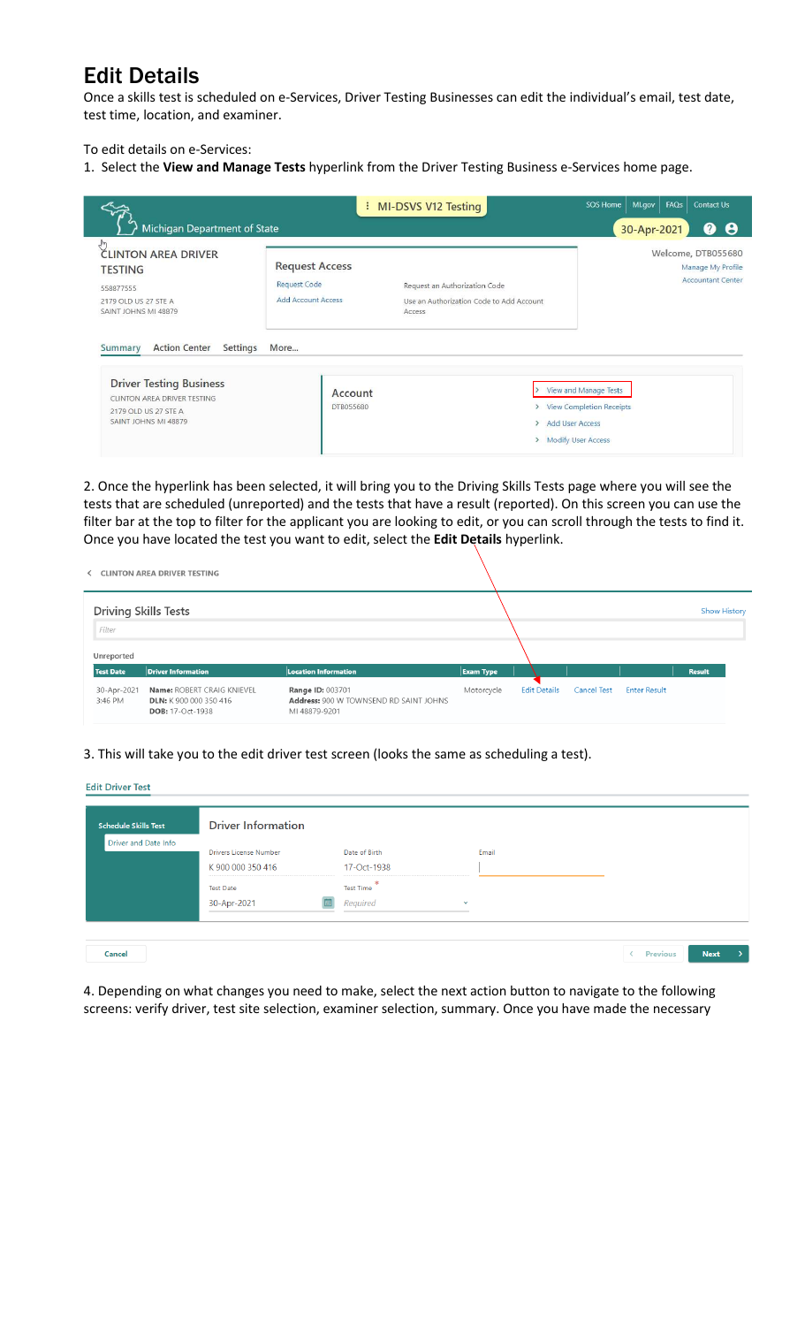## Edit Details

Once a skills test is scheduled on e-Services, Driver Testing Businesses can edit the individual's email, test date, test time, location, and examiner.

To edit details on e-Services:

1. Select the **View and Manage Tests** hyperlink from the Driver Testing Business e-Services home page.

| Michigan Department of State                                                                                                                                 |                                                                    | : MI-DSVS V12 Testing                                                               | FAQs<br>Contact Us<br>SOS Home<br>Ml.gov<br>❷<br>Θ<br>30-Apr-2021                                |
|--------------------------------------------------------------------------------------------------------------------------------------------------------------|--------------------------------------------------------------------|-------------------------------------------------------------------------------------|--------------------------------------------------------------------------------------------------|
| <b>CLINTON AREA DRIVER</b><br><b>TESTING</b><br>558877555<br>2179 OLD US 27 STE A<br>SAINT JOHNS MI 48879                                                    | <b>Request Access</b><br><b>Request Code</b><br>Add Account Access | Request an Authorization Code<br>Use an Authorization Code to Add Account<br>Access | Welcome, DTB055680<br>Manage My Profile<br><b>Accountant Center</b>                              |
| <b>Action Center</b><br>Settings<br>Summary<br><b>Driver Testing Business</b><br>CLINTON AREA DRIVER TESTING<br>2179 OLD US 27 STE A<br>SAINT JOHNS MI 48879 | More<br>Account<br><b>DTB055680</b>                                |                                                                                     | View and Manage Tests<br>> View Completion Receipts<br>> Add User Access<br>> Modify User Access |

2. Once the hyperlink has been selected, it will bring you to the Driving Skills Tests page where you will see the tests that are scheduled (unreported) and the tests that have a result (reported). On this screen you can use the filter bar at the top to filter for the applicant you are looking to edit, or you can scroll through the tests to find it. Once you have located the test you want to edit, select the **Edit Details** hyperlink.

| <b>CLINTON AREA DRIVER TESTING</b>                                              |                                                                                    |                  |                     |                    |                     |                     |
|---------------------------------------------------------------------------------|------------------------------------------------------------------------------------|------------------|---------------------|--------------------|---------------------|---------------------|
| <b>Driving Skills Tests</b>                                                     |                                                                                    |                  |                     |                    |                     | <b>Show History</b> |
|                                                                                 |                                                                                    |                  |                     |                    |                     |                     |
|                                                                                 |                                                                                    |                  |                     |                    |                     |                     |
| <b>Driver Information</b>                                                       | <b>Location Information</b>                                                        | <b>Exam Type</b> |                     |                    |                     | <b>Result</b>       |
| Name: ROBERT CRAIG KNIEVEL<br><b>DLN:</b> K 900 000 350 416<br>DOB: 17-Oct-1938 | <b>Range ID: 003701</b><br>Address: 900 W TOWNSEND RD SAINT JOHNS<br>MI 48879-9201 | Motorcycle       | <b>Edit Details</b> | <b>Cancel Test</b> | <b>Enter Result</b> |                     |
|                                                                                 |                                                                                    |                  |                     |                    |                     |                     |

3. This will take you to the edit driver test screen (looks the same as scheduling a test).

**Edit Driver Test** 

| <b>Schedule Skills Test</b> | <b>Driver Information</b>            |                                      |              |  |  |
|-----------------------------|--------------------------------------|--------------------------------------|--------------|--|--|
| Driver and Date Info        | <b>Drivers License Number</b>        | Date of Birth                        | Email        |  |  |
|                             | K900 000 350 416<br><b>Test Date</b> | 17-Oct-1938<br>宋<br><b>Test Time</b> |              |  |  |
|                             | 30-Apr-2021                          | Required                             | $\checkmark$ |  |  |

4. Depending on what changes you need to make, select the next action button to navigate to the following screens: verify driver, test site selection, examiner selection, summary. Once you have made the necessary